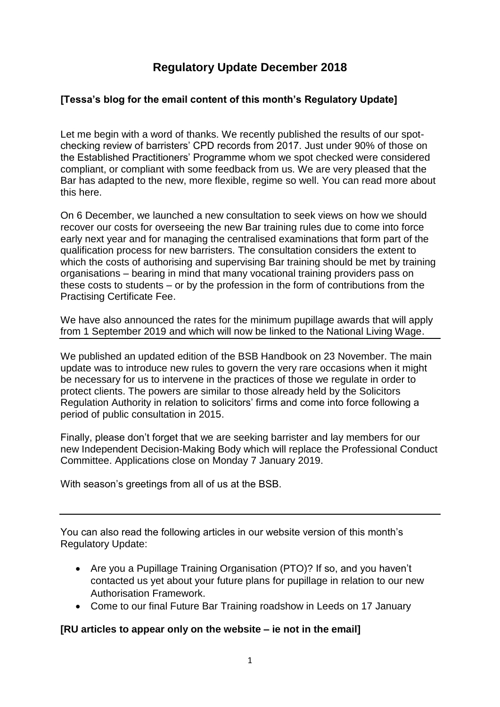# **Regulatory Update December 2018**

#### **[Tessa's blog for the email content of this month's Regulatory Update]**

Let me begin with a word of thanks. We recently published the results of our spotchecking review of barristers' CPD records from 2017. Just under 90% of those on the Established Practitioners' Programme whom we spot checked were considered compliant, or compliant with some feedback from us. We are very pleased that the Bar has adapted to the new, more flexible, regime so well. You can read more about this here.

On 6 December, we launched a new consultation to seek views on how we should recover our costs for overseeing the new Bar training rules due to come into force early next year and for managing the centralised examinations that form part of the qualification process for new barristers. The consultation considers the extent to which the costs of authorising and supervising Bar training should be met by training organisations – bearing in mind that many vocational training providers pass on these costs to students – or by the profession in the form of contributions from the Practising Certificate Fee.

We have also announced the rates for the minimum pupillage awards that will apply from 1 September 2019 and which will now be linked to the National Living Wage.

We published an updated edition of the BSB Handbook on 23 November. The main update was to introduce new rules to govern the very rare occasions when it might be necessary for us to intervene in the practices of those we regulate in order to protect clients. The powers are similar to those already held by the Solicitors Regulation Authority in relation to solicitors' firms and come into force following a period of public consultation in 2015.

Finally, please don't forget that we are seeking barrister and lay members for our new Independent Decision-Making Body which will replace the Professional Conduct Committee. Applications close on Monday 7 January 2019.

With season's greetings from all of us at the BSB.

You can also read the following articles in our website version of this month's Regulatory Update:

- Are you a Pupillage Training Organisation (PTO)? If so, and you haven't contacted us yet about your future plans for pupillage in relation to our new Authorisation Framework.
- Come to our final Future Bar Training roadshow in Leeds on 17 January

#### **[RU articles to appear only on the website – ie not in the email]**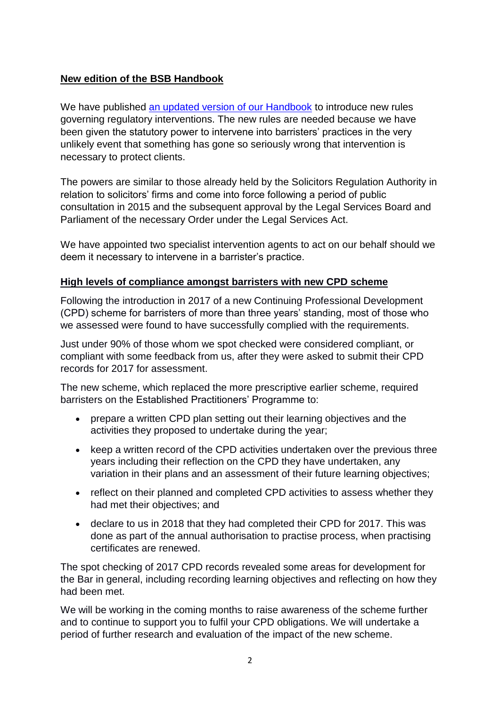### **New edition of the BSB Handbook**

We have published [an updated version of our Handbook](https://www.barstandardsboard.org.uk/regulatory-requirements/bsb-handbook/the-handbook-publication/) to introduce new rules governing regulatory interventions. The new rules are needed because we have been given the statutory power to intervene into barristers' practices in the very unlikely event that something has gone so seriously wrong that intervention is necessary to protect clients.

The powers are similar to those already held by the Solicitors Regulation Authority in relation to solicitors' firms and come into force following a period of public consultation in 2015 and the subsequent approval by the Legal Services Board and Parliament of the necessary Order under the Legal Services Act.

We have appointed two specialist intervention agents to act on our behalf should we deem it necessary to intervene in a barrister's practice.

#### **High levels of compliance amongst barristers with new CPD scheme**

Following the introduction in 2017 of a new Continuing Professional Development (CPD) scheme for barristers of more than three years' standing, most of those who we assessed were found to have successfully complied with the requirements.

Just under 90% of those whom we spot checked were considered compliant, or compliant with some feedback from us, after they were asked to submit their CPD records for 2017 for assessment.

The new scheme, which replaced the more prescriptive earlier scheme, required barristers on the Established Practitioners' Programme to:

- prepare a written CPD plan setting out their learning objectives and the activities they proposed to undertake during the year;
- keep a written record of the CPD activities undertaken over the previous three years including their reflection on the CPD they have undertaken, any variation in their plans and an assessment of their future learning objectives;
- reflect on their planned and completed CPD activities to assess whether they had met their objectives; and
- declare to us in 2018 that they had completed their CPD for 2017. This was done as part of the annual authorisation to practise process, when practising certificates are renewed.

The spot checking of 2017 CPD records revealed some areas for development for the Bar in general, including recording learning objectives and reflecting on how they had been met.

We will be working in the coming months to raise awareness of the scheme further and to continue to support you to fulfil your CPD obligations. We will undertake a period of further research and evaluation of the impact of the new scheme.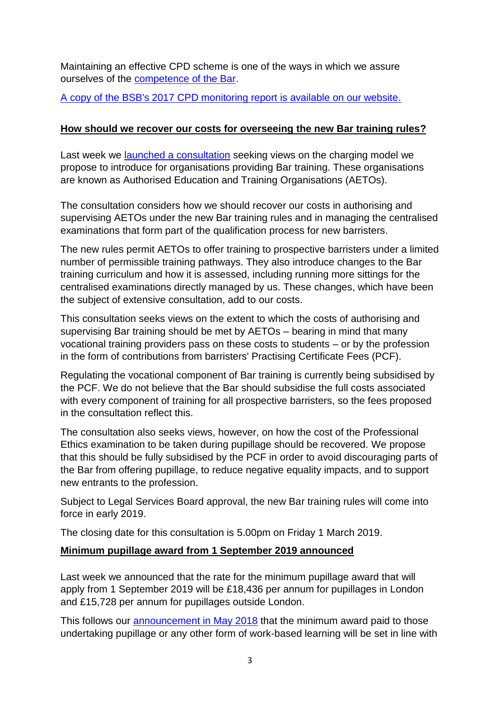Maintaining an effective CPD scheme is one of the ways in which we assure ourselves of the [competence of the Bar.](https://www.barstandardsboard.org.uk/about-bar-standards-board/what-we-do/assuring-the-competence-of-barristers/)

[A copy of the BSB's 2017 CPD monitoring report is available on our website.](https://www.barstandardsboard.org.uk/media/1968351/cpd_report_update.pdf)

#### **How should we recover our costs for overseeing the new Bar training rules?**

Last week we launched a [consultation](https://www.barstandardsboard.org.uk/media/1969179/fees_consultation_-_aetos.pdf) seeking views on the charging model we propose to introduce for organisations providing Bar training. These organisations are known as Authorised Education and Training Organisations (AETOs).

The consultation considers how we should recover our costs in authorising and supervising AETOs under the new Bar training rules and in managing the centralised examinations that form part of the qualification process for new barristers.

The new rules permit AETOs to offer training to prospective barristers under a limited number of permissible training pathways. They also introduce changes to the Bar training curriculum and how it is assessed, including running more sittings for the centralised examinations directly managed by us. These changes, which have been the subject of extensive consultation, add to our costs.

This consultation seeks views on the extent to which the costs of authorising and supervising Bar training should be met by AETOs – bearing in mind that many vocational training providers pass on these costs to students – or by the profession in the form of contributions from barristers' Practising Certificate Fees (PCF).

Regulating the vocational component of Bar training is currently being subsidised by the PCF. We do not believe that the Bar should subsidise the full costs associated with every component of training for all prospective barristers, so the fees proposed in the consultation reflect this.

The consultation also seeks views, however, on how the cost of the Professional Ethics examination to be taken during pupillage should be recovered. We propose that this should be fully subsidised by the PCF in order to avoid discouraging parts of the Bar from offering pupillage, to reduce negative equality impacts, and to support new entrants to the profession.

Subject to Legal Services Board approval, the new Bar training rules will come into force in early 2019.

The closing date for this consultation is 5.00pm on Friday 1 March 2019.

## **Minimum pupillage award from 1 September 2019 announced**

Last week we announced that the rate for the minimum pupillage award that will apply from 1 September 2019 will be £18,436 per annum for pupillages in London and £15,728 per annum for pupillages outside London.

This follows our [announcement](https://www.barstandardsboard.org.uk/media-centre/press-releases-and-news/bsb-agrees-further-key-elements-for-the-future-of-bar-training/) in May 2018 that the minimum award paid to those undertaking pupillage or any other form of work-based learning will be set in line with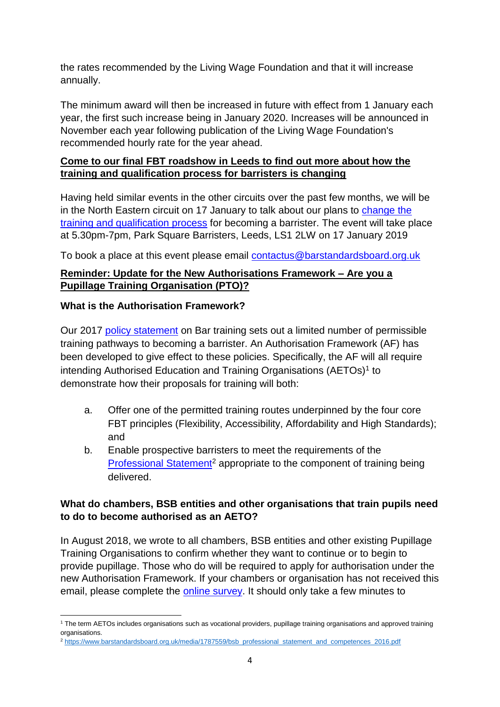the rates recommended by the Living Wage Foundation and that it will increase annually.

The minimum award will then be increased in future with effect from 1 January each year, the first such increase being in January 2020. Increases will be announced in November each year following publication of the Living Wage Foundation's recommended hourly rate for the year ahead.

#### **Come to our final FBT roadshow in Leeds to find out more about how the training and qualification process for barristers is changing**

Having held similar events in the other circuits over the past few months, we will be in the North Eastern circuit on 17 January to talk about our plans to [change the](https://www.barstandardsboard.org.uk/qualifying-as-a-barrister/future-requirements/future-bar-training/future-ways-to-qualify-as-a-barrister/)  [training and qualification process](https://www.barstandardsboard.org.uk/qualifying-as-a-barrister/future-requirements/future-bar-training/future-ways-to-qualify-as-a-barrister/) for becoming a barrister. The event will take place at 5.30pm-7pm, Park Square Barristers, Leeds, LS1 2LW on 17 January 2019

To book a place at this event please email [contactus@barstandardsboard.org.uk](mailto:contactus@barstandardsboard.org.uk)

### **Reminder: Update for the New Authorisations Framework – Are you a Pupillage Training Organisation (PTO)?**

### **What is the Authorisation Framework?**

**.** 

Our 2017 [policy statement](https://www.barstandardsboard.org.uk/media/1825162/032317_fbt_-_policy_statement_version_for_publication.pdf) on Bar training sets out a limited number of permissible training pathways to becoming a barrister. An Authorisation Framework (AF) has been developed to give effect to these policies. Specifically, the AF will all require intending Authorised Education and Training Organisations (AETOs)<sup>1</sup> to demonstrate how their proposals for training will both:

- a. Offer one of the permitted training routes underpinned by the four core FBT principles (Flexibility, Accessibility, Affordability and High Standards); and
- b. Enable prospective barristers to meet the requirements of the [Professional Statement](https://www.barstandardsboard.org.uk/media/1787559/bsb_professional_statement_and_competences_2016.pdf)<sup>2</sup> appropriate to the component of training being delivered.

### **What do chambers, BSB entities and other organisations that train pupils need to do to become authorised as an AETO?**

In August 2018, we wrote to all chambers, BSB entities and other existing Pupillage Training Organisations to confirm whether they want to continue or to begin to provide pupillage. Those who do will be required to apply for authorisation under the new Authorisation Framework. If your chambers or organisation has not received this email, please complete the **online survey**. It should only take a few minutes to

<sup>1</sup> The term AETOs includes organisations such as vocational providers, pupillage training organisations and approved training organisations.

<sup>&</sup>lt;sup>2</sup> [https://www.barstandardsboard.org.uk/media/1787559/bsb\\_professional\\_statement\\_and\\_competences\\_2016.pdf](https://www.barstandardsboard.org.uk/media/1787559/bsb_professional_statement_and_competences_2016.pdf)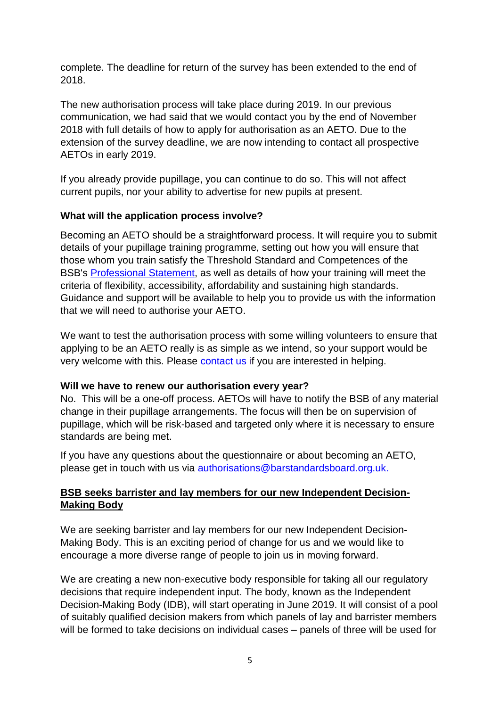complete. The deadline for return of the survey has been extended to the end of 2018.

The new authorisation process will take place during 2019. In our previous communication, we had said that we would contact you by the end of November 2018 with full details of how to apply for authorisation as an AETO. Due to the extension of the survey deadline, we are now intending to contact all prospective AETOs in early 2019.

If you already provide pupillage, you can continue to do so. This will not affect current pupils, nor your ability to advertise for new pupils at present.

#### **What will the application process involve?**

Becoming an AETO should be a straightforward process. It will require you to submit details of your pupillage training programme, setting out how you will ensure that those whom you train satisfy the Threshold Standard and Competences of the BSB's [Professional](https://www.barstandardsboard.org.uk/media/1787559/bsb_professional_statement_and_competences_2016.pdf) Statement, as well as details of how your training will meet the criteria of flexibility, accessibility, affordability and sustaining high standards. Guidance and support will be available to help you to provide us with the information that we will need to authorise your AETO.

We want to test the authorisation process with some willing volunteers to ensure that applying to be an AETO really is as simple as we intend, so your support would be very welcome with this. Please [contact](mailto:authorisations@BarStandardsBoard.org.uk) us if you are interested in helping.

#### **Will we have to renew our authorisation every year?**

No. This will be a one-off process. AETOs will have to notify the BSB of any material change in their pupillage arrangements. The focus will then be on supervision of pupillage, which will be risk-based and targeted only where it is necessary to ensure standards are being met.

If you have any questions about the questionnaire or about becoming an AETO, please get in touch with us via [authorisations@barstandardsboard.org.uk.](mailto:authorisations@barstandardsboard.org.uk)

#### **BSB seeks barrister and lay members for our new Independent Decision-Making Body**

We are seeking barrister and lay members for our new Independent Decision-Making Body. This is an exciting period of change for us and we would like to encourage a more diverse range of people to join us in moving forward.

We are creating a new non-executive body responsible for taking all our regulatory decisions that require independent input. The body, known as the Independent Decision-Making Body (IDB), will start operating in June 2019. It will consist of a pool of suitably qualified decision makers from which panels of lay and barrister members will be formed to take decisions on individual cases – panels of three will be used for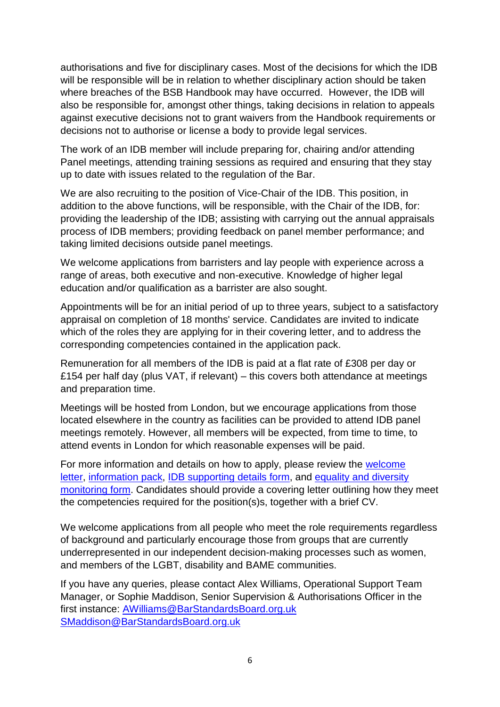authorisations and five for disciplinary cases. Most of the decisions for which the IDB will be responsible will be in relation to whether disciplinary action should be taken where breaches of the BSB Handbook may have occurred. However, the IDB will also be responsible for, amongst other things, taking decisions in relation to appeals against executive decisions not to grant waivers from the Handbook requirements or decisions not to authorise or license a body to provide legal services.

The work of an IDB member will include preparing for, chairing and/or attending Panel meetings, attending training sessions as required and ensuring that they stay up to date with issues related to the regulation of the Bar.

We are also recruiting to the position of Vice-Chair of the IDB. This position, in addition to the above functions, will be responsible, with the Chair of the IDB, for: providing the leadership of the IDB; assisting with carrying out the annual appraisals process of IDB members; providing feedback on panel member performance; and taking limited decisions outside panel meetings.

We welcome applications from barristers and lay people with experience across a range of areas, both executive and non-executive. Knowledge of higher legal education and/or qualification as a barrister are also sought.

Appointments will be for an initial period of up to three years, subject to a satisfactory appraisal on completion of 18 months' service. Candidates are invited to indicate which of the roles they are applying for in their covering letter, and to address the corresponding competencies contained in the application pack.

Remuneration for all members of the IDB is paid at a flat rate of £308 per day or £154 per half day (plus VAT, if relevant) – this covers both attendance at meetings and preparation time.

Meetings will be hosted from London, but we encourage applications from those located elsewhere in the country as facilities can be provided to attend IDB panel meetings remotely. However, all members will be expected, from time to time, to attend events in London for which reasonable expenses will be paid.

For more information and details on how to apply, please review the [welcome](https://www.barstandardsboard.org.uk/media/1962370/welcome_letter_idb_recruitment.doc) [letter,](https://www.barstandardsboard.org.uk/media/1962370/welcome_letter_idb_recruitment.doc) [information](https://www.barstandardsboard.org.uk/media/1962374/idb_information_pack_-_lay_and_barrister_members_-_november_2018_-_final.docx) pack, IDB [supporting](https://www.barstandardsboard.org.uk/media/1962378/idb_supporting_details_form_-_final.docx) details form, and equality and [diversity](https://www.barstandardsboard.org.uk/media/1962382/equality__diversity_monitoring_form_april_2017.docx) [monitoring](https://www.barstandardsboard.org.uk/media/1962382/equality__diversity_monitoring_form_april_2017.docx) form. Candidates should provide a covering letter outlining how they meet the competencies required for the position(s)s, together with a brief CV.

We welcome applications from all people who meet the role requirements regardless of background and particularly encourage those from groups that are currently underrepresented in our independent decision-making processes such as women, and members of the LGBT, disability and BAME communities.

If you have any queries, please contact Alex Williams, Operational Support Team Manager, or Sophie Maddison, Senior Supervision & Authorisations Officer in the first instance: [AWilliams@BarStandardsBoard.org.uk](mailto:AWilliams@BarStandardsBoard.org.uk) [SMaddison@BarStandardsBoard.org.uk](mailto:SMaddison@BarStandardsBoard.org.uk)